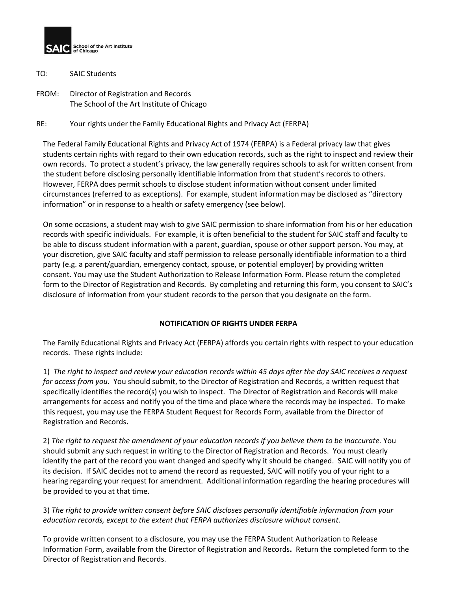

- TO: SAIC Students
- FROM: Director of Registration and Records The School of the Art Institute of Chicago
- RE: Your rights under the Family Educational Rights and Privacy Act (FERPA)

The Federal Family Educational Rights and Privacy Act of 1974 (FERPA) is a Federal privacy law that gives students certain rights with regard to their own education records, such as the right to inspect and review their own records. To protect a student's privacy, the law generally requires schools to ask for written consent from the student before disclosing personally identifiable information from that student's records to others. However, FERPA does permit schools to disclose student information without consent under limited circumstances (referred to as exceptions). For example, student information may be disclosed as "directory information" or in response to a health or safety emergency (see below).

On some occasions, a student may wish to give SAIC permission to share information from his or her education records with specific individuals. For example, it is often beneficial to the student for SAIC staff and faculty to be able to discuss student information with a parent, guardian, spouse or other support person. You may, at your discretion, give SAIC faculty and staff permission to release personally identifiable information to a third party (e.g. a parent/guardian, emergency contact, spouse, or potential employer) by providing written consent. You may use the Student Authorization to Release Information Form. Please return the completed form to the Director of Registration and Records. By completing and returning this form, you consent to SAIC's disclosure of information from your student records to the person that you designate on the form.

## **NOTIFICATION OF RIGHTS UNDER FERPA**

The Family Educational Rights and Privacy Act (FERPA) affords you certain rights with respect to your education records. These rights include:

1) *The right to inspect and review your education records within 45 days after the day SAIC receives a request for access from you.* You should submit, to the Director of Registration and Records, a written request that specifically identifies the record(s) you wish to inspect. The Director of Registration and Records will make arrangements for access and notify you of the time and place where the records may be inspected. To make this request, you may use the FERPA Student Request for Records Form, available from the Director of Registration and Records**.**

2) *The right to request the amendment of your education records if you believe them to be inaccurate.* You should submit any such request in writing to the Director of Registration and Records. You must clearly identify the part of the record you want changed and specify why it should be changed. SAIC will notify you of its decision. If SAIC decides not to amend the record as requested, SAIC will notify you of your right to a hearing regarding your request for amendment. Additional information regarding the hearing procedures will be provided to you at that time.

## 3) *The right to provide written consent before SAIC discloses personally identifiable information from your education records, except to the extent that FERPA authorizes disclosure without consent.*

To provide written consent to a disclosure, you may use the FERPA Student Authorization to Release Information Form, available from the Director of Registration and Records**.** Return the completed form to the Director of Registration and Records.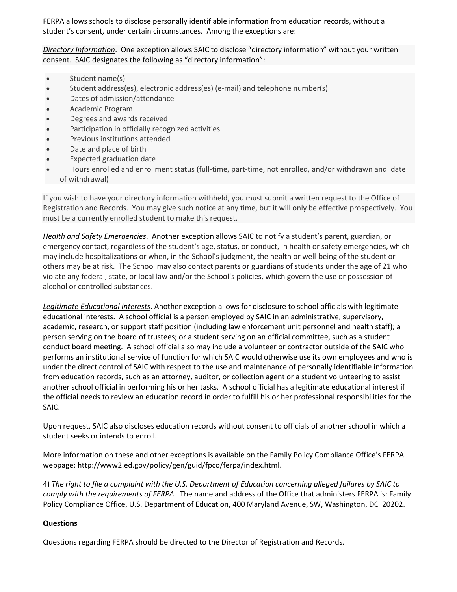FERPA allows schools to disclose personally identifiable information from education records, without a student's consent, under certain circumstances. Among the exceptions are:

*Directory Information*. One exception allows SAIC to disclose "directory information" without your written consent. SAIC designates the following as "directory information":

- Student name(s)
- Student address(es), electronic address(es) (e-mail) and telephone number(s)
- Dates of admission/attendance
- Academic Program
- Degrees and awards received
- Participation in officially recognized activities
- Previous institutions attended
- Date and place of birth
- Expected graduation date
- Hours enrolled and enrollment status (full-time, part-time, not enrolled, and/or withdrawn and date of withdrawal)

If you wish to have your directory information withheld, you must submit a written request to the Office of Registration and Records. You may give such notice at any time, but it will only be effective prospectively. You must be a currently enrolled student to make this request.

*Health and Safety Emergencies*. Another exception allows SAIC to notify a student's parent, guardian, or emergency contact, regardless of the student's age, status, or conduct, in health or safety emergencies, which may include hospitalizations or when, in the School's judgment, the health or well-being of the student or others may be at risk. The School may also contact parents or guardians of students under the age of 21 who violate any federal, state, or local law and/or the School's policies, which govern the use or possession of alcohol or controlled substances.

*Legitimate Educational Interests*. Another exception allows for disclosure to school officials with legitimate educational interests. A school official is a person employed by SAIC in an administrative, supervisory, academic, research, or support staff position (including law enforcement unit personnel and health staff); a person serving on the board of trustees; or a student serving on an official committee, such as a student conduct board meeting. A school official also may include a volunteer or contractor outside of the SAIC who performs an institutional service of function for which SAIC would otherwise use its own employees and who is under the direct control of SAIC with respect to the use and maintenance of personally identifiable information from education records, such as an attorney, auditor, or collection agent or a student volunteering to assist another school official in performing his or her tasks. A school official has a legitimate educational interest if the official needs to review an education record in order to fulfill his or her professional responsibilities for the SAIC.

Upon request, SAIC also discloses education records without consent to officials of another school in which a student seeks or intends to enroll.

More information on these and other exceptions is available on the Family Policy Compliance Office's FERPA webpage: http://www2.ed.gov/policy/gen/guid/fpco/ferpa/index.html.

4) *The right to file a complaint with the U.S. Department of Education concerning alleged failures by SAIC to comply with the requirements of FERPA.* The name and address of the Office that administers FERPA is: Family Policy Compliance Office, U.S. Department of Education, 400 Maryland Avenue, SW, Washington, DC 20202.

#### **Questions**

Questions regarding FERPA should be directed to the Director of Registration and Records.